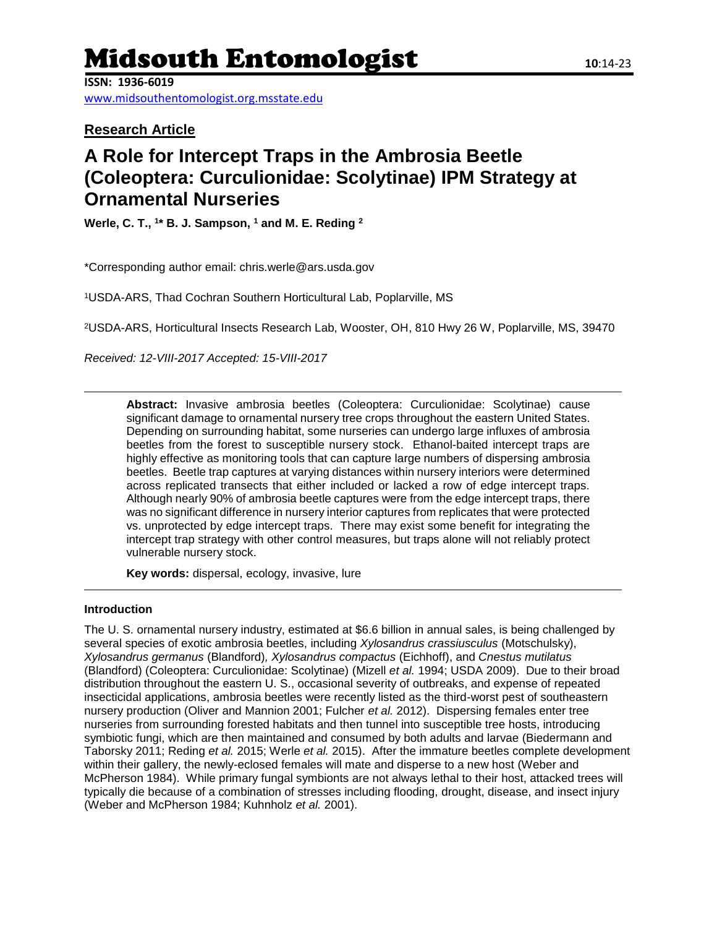# Midsouth Entomologist **<sup>10</sup>**:14-23

**ISSN: 1936-6019**

[www.midsouthentomologist.org.msstate.edu](http://www.midsouthentomologist.org.msstate.edu/)

**Research Article**

# **A Role for Intercept Traps in the Ambrosia Beetle (Coleoptera: Curculionidae: Scolytinae) IPM Strategy at Ornamental Nurseries**

**Werle, C. T., <sup>1</sup> \* B. J. Sampson, <sup>1</sup> and M. E. Reding <sup>2</sup>**

\*Corresponding author email: chris.werle@ars.usda.gov

<sup>1</sup>USDA-ARS, Thad Cochran Southern Horticultural Lab, Poplarville, MS

<sup>2</sup>USDA-ARS, Horticultural Insects Research Lab, Wooster, OH, 810 Hwy 26 W, Poplarville, MS, 39470

*Received: 12-VIII-2017 Accepted: 15-VIII-2017*

**Abstract:** Invasive ambrosia beetles (Coleoptera: Curculionidae: Scolytinae) cause significant damage to ornamental nursery tree crops throughout the eastern United States. Depending on surrounding habitat, some nurseries can undergo large influxes of ambrosia beetles from the forest to susceptible nursery stock. Ethanol-baited intercept traps are highly effective as monitoring tools that can capture large numbers of dispersing ambrosia beetles. Beetle trap captures at varying distances within nursery interiors were determined across replicated transects that either included or lacked a row of edge intercept traps. Although nearly 90% of ambrosia beetle captures were from the edge intercept traps, there was no significant difference in nursery interior captures from replicates that were protected vs. unprotected by edge intercept traps. There may exist some benefit for integrating the intercept trap strategy with other control measures, but traps alone will not reliably protect vulnerable nursery stock.

**Key words:** dispersal, ecology, invasive, lure

## **Introduction**

The U. S. ornamental nursery industry, estimated at \$6.6 billion in annual sales, is being challenged by several species of exotic ambrosia beetles, including *Xylosandrus crassiusculus* (Motschulsky), *Xylosandrus germanus* (Blandford)*, Xylosandrus compactus* (Eichhoff), and *Cnestus mutilatus*  (Blandford) (Coleoptera: Curculionidae: Scolytinae) (Mizell *et al.* 1994; USDA 2009). Due to their broad distribution throughout the eastern U. S., occasional severity of outbreaks, and expense of repeated insecticidal applications, ambrosia beetles were recently listed as the third-worst pest of southeastern nursery production (Oliver and Mannion 2001; Fulcher *et al.* 2012). Dispersing females enter tree nurseries from surrounding forested habitats and then tunnel into susceptible tree hosts, introducing symbiotic fungi, which are then maintained and consumed by both adults and larvae (Biedermann and Taborsky 2011; Reding *et al.* 2015; Werle *et al.* 2015). After the immature beetles complete development within their gallery, the newly-eclosed females will mate and disperse to a new host (Weber and McPherson 1984). While primary fungal symbionts are not always lethal to their host, attacked trees will typically die because of a combination of stresses including flooding, drought, disease, and insect injury (Weber and McPherson 1984; Kuhnholz *et al.* 2001).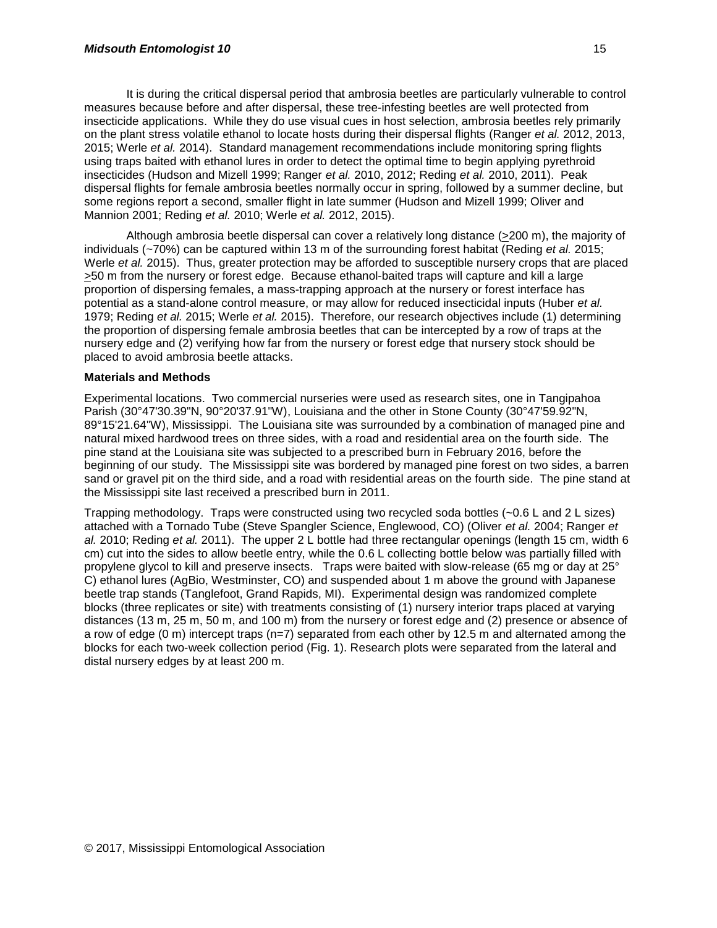It is during the critical dispersal period that ambrosia beetles are particularly vulnerable to control measures because before and after dispersal, these tree-infesting beetles are well protected from insecticide applications. While they do use visual cues in host selection, ambrosia beetles rely primarily on the plant stress volatile ethanol to locate hosts during their dispersal flights (Ranger *et al.* 2012, 2013, 2015; Werle *et al.* 2014). Standard management recommendations include monitoring spring flights using traps baited with ethanol lures in order to detect the optimal time to begin applying pyrethroid insecticides (Hudson and Mizell 1999; Ranger *et al.* 2010, 2012; Reding *et al.* 2010, 2011). Peak dispersal flights for female ambrosia beetles normally occur in spring, followed by a summer decline, but some regions report a second, smaller flight in late summer (Hudson and Mizell 1999; Oliver and Mannion 2001; Reding *et al.* 2010; Werle *et al.* 2012, 2015).

Although ambrosia beetle dispersal can cover a relatively long distance (>200 m), the majority of individuals (~70%) can be captured within 13 m of the surrounding forest habitat (Reding *et al.* 2015; Werle *et al.* 2015). Thus, greater protection may be afforded to susceptible nursery crops that are placed >50 m from the nursery or forest edge. Because ethanol-baited traps will capture and kill a large proportion of dispersing females, a mass-trapping approach at the nursery or forest interface has potential as a stand-alone control measure, or may allow for reduced insecticidal inputs (Huber *et al.* 1979; Reding *et al.* 2015; Werle *et al.* 2015). Therefore, our research objectives include (1) determining the proportion of dispersing female ambrosia beetles that can be intercepted by a row of traps at the nursery edge and (2) verifying how far from the nursery or forest edge that nursery stock should be placed to avoid ambrosia beetle attacks.

#### **Materials and Methods**

Experimental locations. Two commercial nurseries were used as research sites, one in Tangipahoa Parish (30°47'30.39"N, 90°20'37.91"W), Louisiana and the other in Stone County (30°47'59.92"N, 89°15'21.64"W), Mississippi. The Louisiana site was surrounded by a combination of managed pine and natural mixed hardwood trees on three sides, with a road and residential area on the fourth side. The pine stand at the Louisiana site was subjected to a prescribed burn in February 2016, before the beginning of our study. The Mississippi site was bordered by managed pine forest on two sides, a barren sand or gravel pit on the third side, and a road with residential areas on the fourth side. The pine stand at the Mississippi site last received a prescribed burn in 2011.

Trapping methodology. Traps were constructed using two recycled soda bottles (~0.6 L and 2 L sizes) attached with a Tornado Tube (Steve Spangler Science, Englewood, CO) (Oliver *et al.* 2004; Ranger *et al.* 2010; Reding *et al.* 2011). The upper 2 L bottle had three rectangular openings (length 15 cm, width 6 cm) cut into the sides to allow beetle entry, while the 0.6 L collecting bottle below was partially filled with propylene glycol to kill and preserve insects. Traps were baited with slow-release (65 mg or day at 25° C) ethanol lures (AgBio, Westminster, CO) and suspended about 1 m above the ground with Japanese beetle trap stands (Tanglefoot, Grand Rapids, MI). Experimental design was randomized complete blocks (three replicates or site) with treatments consisting of (1) nursery interior traps placed at varying distances (13 m, 25 m, 50 m, and 100 m) from the nursery or forest edge and (2) presence or absence of a row of edge (0 m) intercept traps (n=7) separated from each other by 12.5 m and alternated among the blocks for each two-week collection period (Fig. 1). Research plots were separated from the lateral and distal nursery edges by at least 200 m.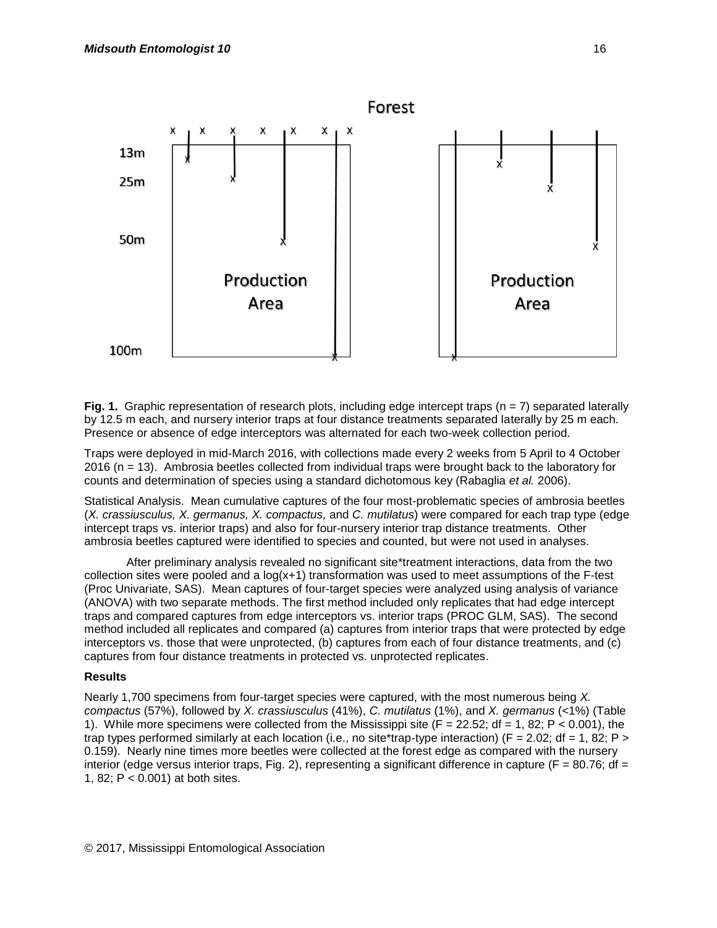

**Fig. 1.** Graphic representation of research plots, including edge intercept traps ( $n = 7$ ) separated laterally by 12.5 m each, and nursery interior traps at four distance treatments separated laterally by 25 m each. Presence or absence of edge interceptors was alternated for each two-week collection period.

Traps were deployed in mid-March 2016, with collections made every 2 weeks from 5 April to 4 October 2016 (n = 13). Ambrosia beetles collected from individual traps were brought back to the laboratory for counts and determination of species using a standard dichotomous key (Rabaglia *et al.* 2006).

Statistical Analysis. Mean cumulative captures of the four most-problematic species of ambrosia beetles (*X. crassiusculus, X. germanus, X. compactus,* and *C. mutilatus*) were compared for each trap type (edge intercept traps vs. interior traps) and also for four-nursery interior trap distance treatments. Other ambrosia beetles captured were identified to species and counted, but were not used in analyses.

After preliminary analysis revealed no significant site\*treatment interactions, data from the two collection sites were pooled and a  $log(x+1)$  transformation was used to meet assumptions of the F-test (Proc Univariate, SAS). Mean captures of four-target species were analyzed using analysis of variance (ANOVA) with two separate methods. The first method included only replicates that had edge intercept traps and compared captures from edge interceptors vs. interior traps (PROC GLM, SAS). The second method included all replicates and compared (a) captures from interior traps that were protected by edge interceptors vs. those that were unprotected, (b) captures from each of four distance treatments, and (c) captures from four distance treatments in protected vs. unprotected replicates.

## **Results**

Nearly 1,700 specimens from four-target species were captured, with the most numerous being *X. compactus* (57%), followed by *X. crassiusculus* (41%), *C. mutilatus* (1%), and *X. germanus* (<1%) (Table 1). While more specimens were collected from the Mississippi site  $(F = 22.52; df = 1, 82; P < 0.001)$ , the trap types performed similarly at each location (i.e., no site\*trap-type interaction) (F = 2.02; df = 1, 82; P > 0.159). Nearly nine times more beetles were collected at the forest edge as compared with the nursery interior (edge versus interior traps, Fig. 2), representing a significant difference in capture ( $F = 80.76$ ; df = 1, 82; P < 0.001) at both sites.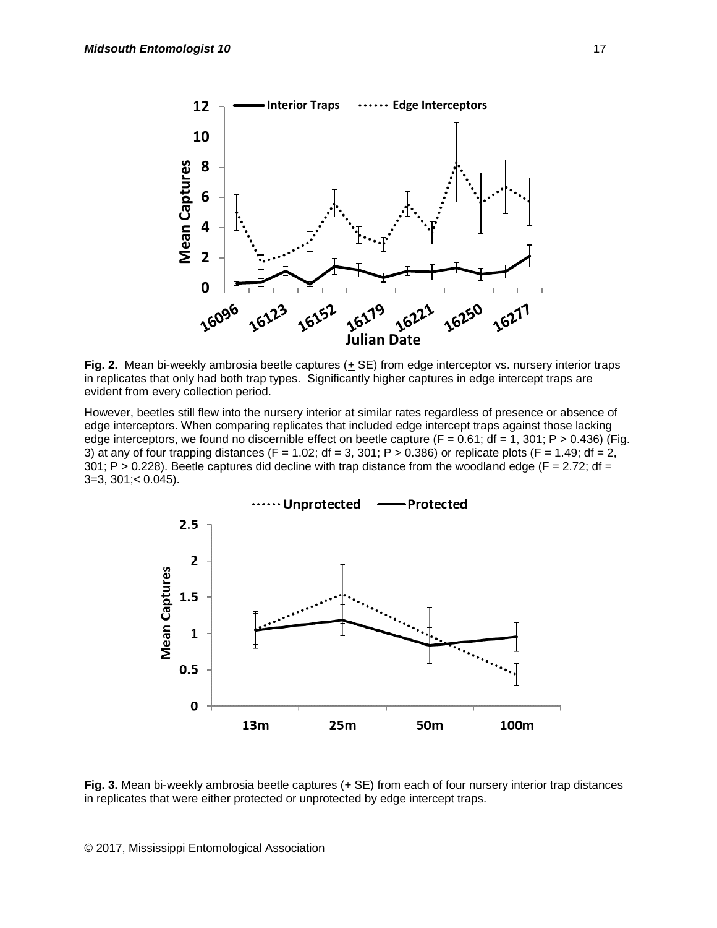

**Fig. 2.** Mean bi-weekly ambrosia beetle captures ( $\pm$  SE) from edge interceptor vs. nursery interior traps in replicates that only had both trap types. Significantly higher captures in edge intercept traps are evident from every collection period.

However, beetles still flew into the nursery interior at similar rates regardless of presence or absence of edge interceptors. When comparing replicates that included edge intercept traps against those lacking edge interceptors, we found no discernible effect on beetle capture  $(F = 0.61$ ; df = 1, 301; P > 0.436) (Fig. 3) at any of four trapping distances (F = 1.02; df = 3, 301; P > 0.386) or replicate plots (F = 1.49; df = 2,  $301$ ; P > 0.228). Beetle captures did decline with trap distance from the woodland edge (F = 2.72; df =  $3=3, 301$ ; < 0.045).



Fig. 3. Mean bi-weekly ambrosia beetle captures ( $\pm$  SE) from each of four nursery interior trap distances in replicates that were either protected or unprotected by edge intercept traps.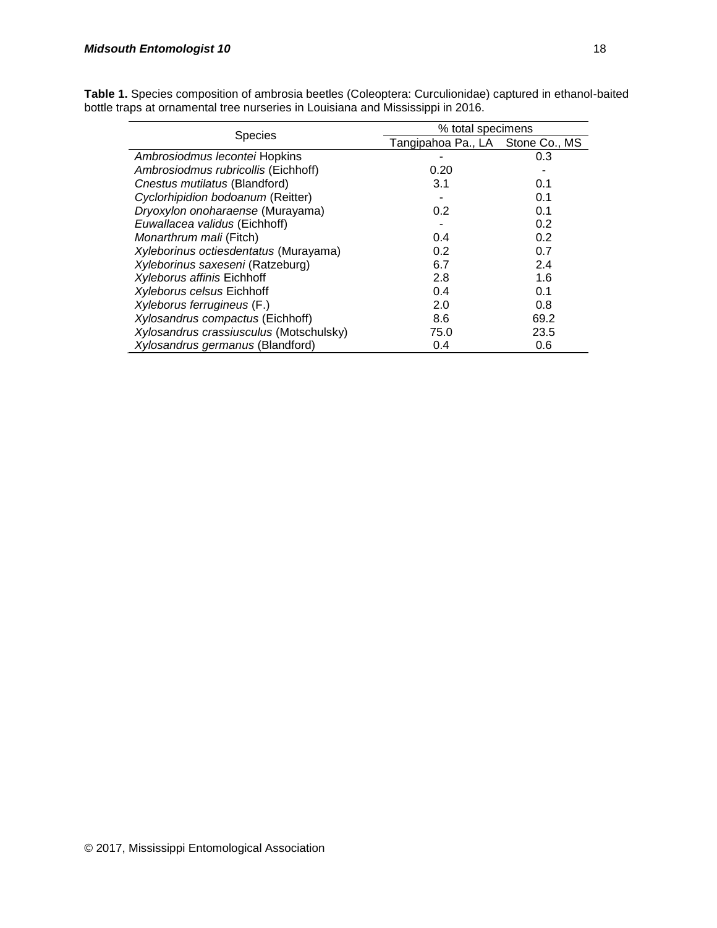| <b>Species</b>                          | % total specimens                |      |
|-----------------------------------------|----------------------------------|------|
|                                         | Tangipahoa Pa., LA Stone Co., MS |      |
| Ambrosiodmus lecontei Hopkins           |                                  | 0.3  |
| Ambrosiodmus rubricollis (Eichhoff)     | 0.20                             |      |
| Cnestus mutilatus (Blandford)           | 3.1                              | 0.1  |
| Cyclorhipidion bodoanum (Reitter)       |                                  | 0.1  |
| Dryoxylon onoharaense (Murayama)        | 0.2                              | 0.1  |
| Euwallacea validus (Eichhoff)           |                                  | 0.2  |
| Monarthrum mali (Fitch)                 | 0.4                              | 0.2  |
| Xyleborinus octiesdentatus (Murayama)   | 0.2                              | 0.7  |
| Xyleborinus saxeseni (Ratzeburg)        | 6.7                              | 2.4  |
| <b>Xyleborus affinis Eichhoff</b>       | 2.8                              | 1.6  |
| <b>Xyleborus celsus Eichhoff</b>        | 0.4                              | 0.1  |
| Xyleborus ferrugineus (F.)              | 2.0                              | 0.8  |
| Xylosandrus compactus (Eichhoff)        | 8.6                              | 69.2 |
| Xylosandrus crassiusculus (Motschulsky) | 75.0                             | 23.5 |
| Xylosandrus germanus (Blandford)        | 0.4                              | 0.6  |

**Table 1.** Species composition of ambrosia beetles (Coleoptera: Curculionidae) captured in ethanol-baited bottle traps at ornamental tree nurseries in Louisiana and Mississippi in 2016.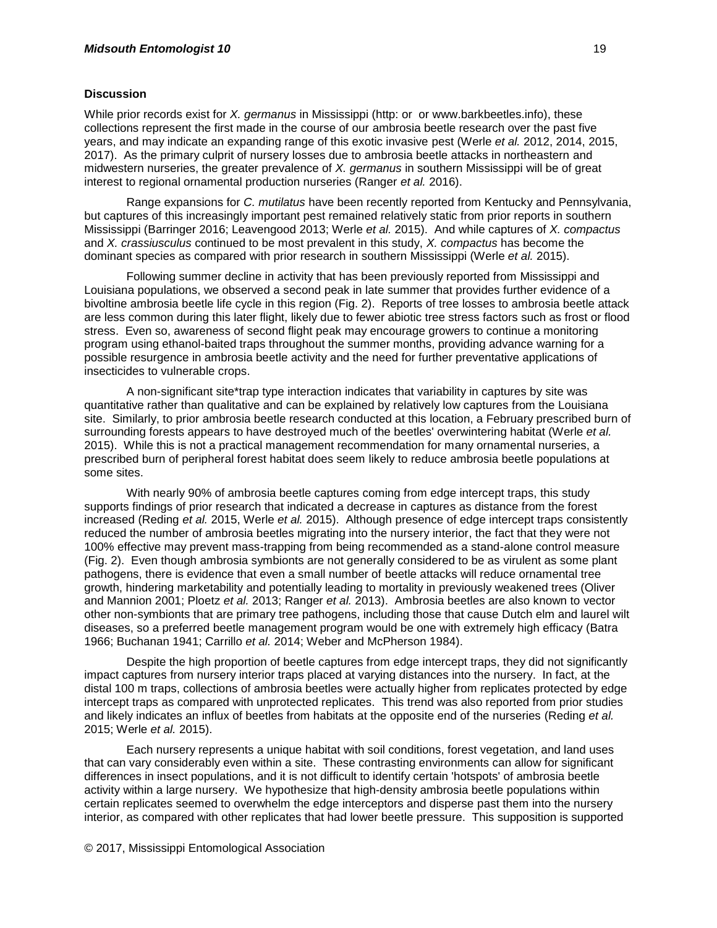#### **Discussion**

While prior records exist for *X. germanus* in Mississippi (http: or or www.barkbeetles.info), these collections represent the first made in the course of our ambrosia beetle research over the past five years, and may indicate an expanding range of this exotic invasive pest (Werle *et al.* 2012, 2014, 2015, 2017). As the primary culprit of nursery losses due to ambrosia beetle attacks in northeastern and midwestern nurseries, the greater prevalence of *X. germanus* in southern Mississippi will be of great interest to regional ornamental production nurseries (Ranger *et al.* 2016).

Range expansions for *C. mutilatus* have been recently reported from Kentucky and Pennsylvania, but captures of this increasingly important pest remained relatively static from prior reports in southern Mississippi (Barringer 2016; Leavengood 2013; Werle *et al.* 2015). And while captures of *X. compactus*  and *X. crassiusculus* continued to be most prevalent in this study, *X. compactus* has become the dominant species as compared with prior research in southern Mississippi (Werle *et al.* 2015).

Following summer decline in activity that has been previously reported from Mississippi and Louisiana populations, we observed a second peak in late summer that provides further evidence of a bivoltine ambrosia beetle life cycle in this region (Fig. 2). Reports of tree losses to ambrosia beetle attack are less common during this later flight, likely due to fewer abiotic tree stress factors such as frost or flood stress. Even so, awareness of second flight peak may encourage growers to continue a monitoring program using ethanol-baited traps throughout the summer months, providing advance warning for a possible resurgence in ambrosia beetle activity and the need for further preventative applications of insecticides to vulnerable crops.

A non-significant site\*trap type interaction indicates that variability in captures by site was quantitative rather than qualitative and can be explained by relatively low captures from the Louisiana site. Similarly, to prior ambrosia beetle research conducted at this location, a February prescribed burn of surrounding forests appears to have destroyed much of the beetles' overwintering habitat (Werle *et al.* 2015). While this is not a practical management recommendation for many ornamental nurseries, a prescribed burn of peripheral forest habitat does seem likely to reduce ambrosia beetle populations at some sites.

With nearly 90% of ambrosia beetle captures coming from edge intercept traps, this study supports findings of prior research that indicated a decrease in captures as distance from the forest increased (Reding *et al.* 2015, Werle *et al.* 2015). Although presence of edge intercept traps consistently reduced the number of ambrosia beetles migrating into the nursery interior, the fact that they were not 100% effective may prevent mass-trapping from being recommended as a stand-alone control measure (Fig. 2). Even though ambrosia symbionts are not generally considered to be as virulent as some plant pathogens, there is evidence that even a small number of beetle attacks will reduce ornamental tree growth, hindering marketability and potentially leading to mortality in previously weakened trees (Oliver and Mannion 2001; Ploetz *et al.* 2013; Ranger *et al.* 2013). Ambrosia beetles are also known to vector other non-symbionts that are primary tree pathogens, including those that cause Dutch elm and laurel wilt diseases, so a preferred beetle management program would be one with extremely high efficacy (Batra 1966; Buchanan 1941; Carrillo *et al.* 2014; Weber and McPherson 1984).

Despite the high proportion of beetle captures from edge intercept traps, they did not significantly impact captures from nursery interior traps placed at varying distances into the nursery. In fact, at the distal 100 m traps, collections of ambrosia beetles were actually higher from replicates protected by edge intercept traps as compared with unprotected replicates. This trend was also reported from prior studies and likely indicates an influx of beetles from habitats at the opposite end of the nurseries (Reding *et al.* 2015; Werle *et al.* 2015).

Each nursery represents a unique habitat with soil conditions, forest vegetation, and land uses that can vary considerably even within a site. These contrasting environments can allow for significant differences in insect populations, and it is not difficult to identify certain 'hotspots' of ambrosia beetle activity within a large nursery. We hypothesize that high-density ambrosia beetle populations within certain replicates seemed to overwhelm the edge interceptors and disperse past them into the nursery interior, as compared with other replicates that had lower beetle pressure. This supposition is supported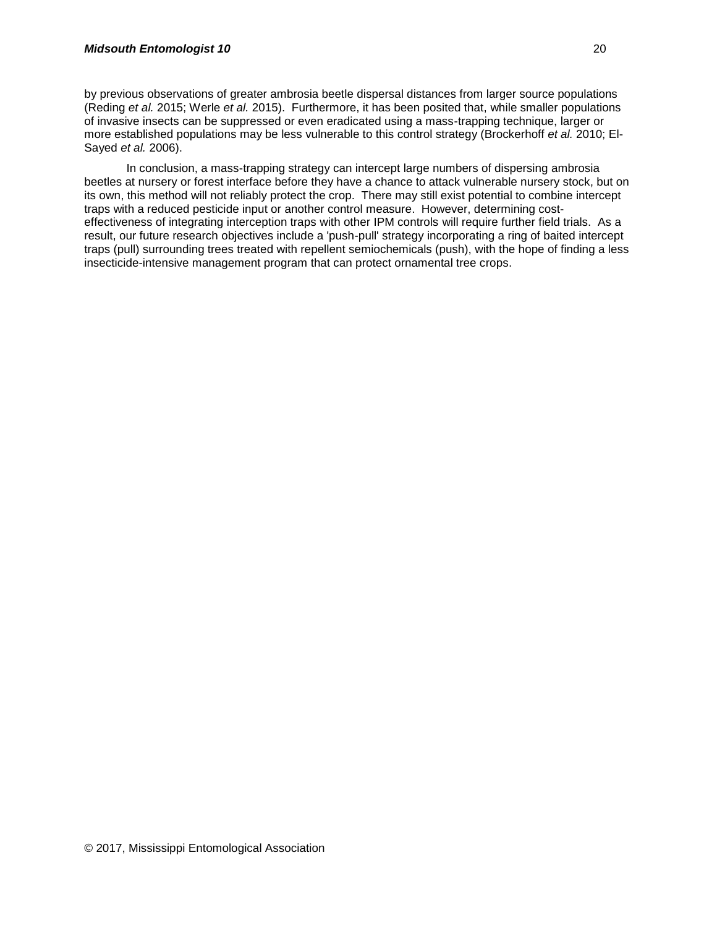by previous observations of greater ambrosia beetle dispersal distances from larger source populations (Reding *et al.* 2015; Werle *et al.* 2015). Furthermore, it has been posited that, while smaller populations of invasive insects can be suppressed or even eradicated using a mass-trapping technique, larger or more established populations may be less vulnerable to this control strategy (Brockerhoff *et al.* 2010; El-Sayed *et al.* 2006).

In conclusion, a mass-trapping strategy can intercept large numbers of dispersing ambrosia beetles at nursery or forest interface before they have a chance to attack vulnerable nursery stock, but on its own, this method will not reliably protect the crop. There may still exist potential to combine intercept traps with a reduced pesticide input or another control measure. However, determining costeffectiveness of integrating interception traps with other IPM controls will require further field trials. As a result, our future research objectives include a 'push-pull' strategy incorporating a ring of baited intercept traps (pull) surrounding trees treated with repellent semiochemicals (push), with the hope of finding a less insecticide-intensive management program that can protect ornamental tree crops.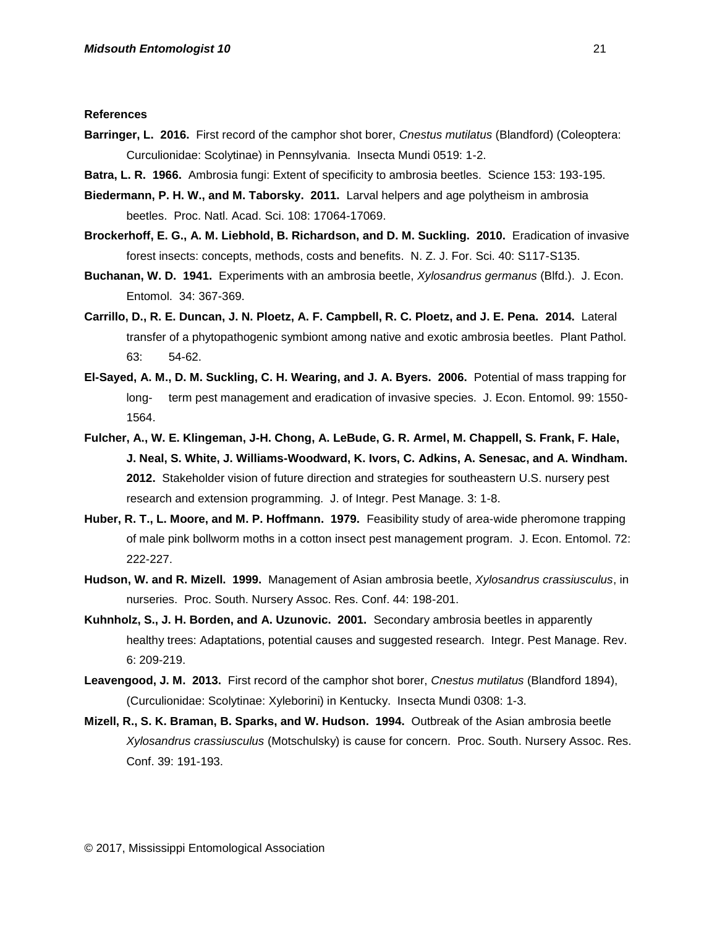#### **References**

- **Barringer, L. 2016.** First record of the camphor shot borer, *Cnestus mutilatus* (Blandford) (Coleoptera: Curculionidae: Scolytinae) in Pennsylvania. Insecta Mundi 0519: 1-2.
- **Batra, L. R. 1966.** Ambrosia fungi: Extent of specificity to ambrosia beetles. Science 153: 193-195.
- **Biedermann, P. H. W., and M. Taborsky. 2011.** Larval helpers and age polytheism in ambrosia beetles. Proc. Natl. Acad. Sci. 108: 17064-17069.
- **Brockerhoff, E. G., A. M. Liebhold, B. Richardson, and D. M. Suckling. 2010.** Eradication of invasive forest insects: concepts, methods, costs and benefits. N. Z. J. For. Sci. 40: S117-S135.
- **Buchanan, W. D. 1941.** Experiments with an ambrosia beetle, *Xylosandrus germanus* (Blfd.). J. Econ. Entomol. 34: 367-369.
- **Carrillo, D., R. E. Duncan, J. N. Ploetz, A. F. Campbell, R. C. Ploetz, and J. E. Pena. 2014.** Lateral transfer of a phytopathogenic symbiont among native and exotic ambrosia beetles. Plant Pathol. 63: 54-62.
- **El-Sayed, A. M., D. M. Suckling, C. H. Wearing, and J. A. Byers. 2006.** Potential of mass trapping for long- term pest management and eradication of invasive species. J. Econ. Entomol. 99: 1550- 1564.
- **Fulcher, A., W. E. Klingeman, J-H. Chong, A. LeBude, G. R. Armel, M. Chappell, S. Frank, F. Hale, J. Neal, S. White, J. Williams-Woodward, K. Ivors, C. Adkins, A. Senesac, and A. Windham. 2012.** Stakeholder vision of future direction and strategies for southeastern U.S. nursery pest research and extension programming. J. of Integr. Pest Manage. 3: 1-8.
- **Huber, R. T., L. Moore, and M. P. Hoffmann. 1979.** Feasibility study of area-wide pheromone trapping of male pink bollworm moths in a cotton insect pest management program. J. Econ. Entomol. 72: 222-227.
- **Hudson, W. and R. Mizell. 1999.** Management of Asian ambrosia beetle, *Xylosandrus crassiusculus*, in nurseries. Proc. South. Nursery Assoc. Res. Conf. 44: 198-201.
- **Kuhnholz, S., J. H. Borden, and A. Uzunovic. 2001.** Secondary ambrosia beetles in apparently healthy trees: Adaptations, potential causes and suggested research. Integr. Pest Manage. Rev. 6: 209-219.
- **Leavengood, J. M. 2013.** First record of the camphor shot borer, *Cnestus mutilatus* (Blandford 1894), (Curculionidae: Scolytinae: Xyleborini) in Kentucky. Insecta Mundi 0308: 1-3.
- **Mizell, R., S. K. Braman, B. Sparks, and W. Hudson. 1994.** Outbreak of the Asian ambrosia beetle *Xylosandrus crassiusculus* (Motschulsky) is cause for concern. Proc. South. Nursery Assoc. Res. Conf. 39: 191-193.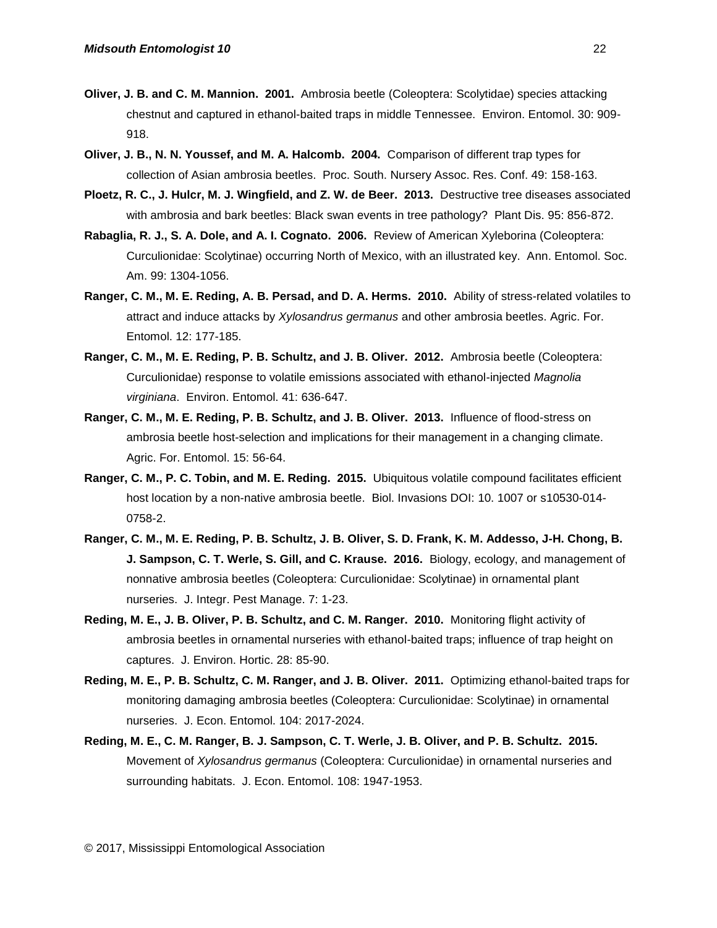- **Oliver, J. B. and C. M. Mannion. 2001.** Ambrosia beetle (Coleoptera: Scolytidae) species attacking chestnut and captured in ethanol-baited traps in middle Tennessee. Environ. Entomol. 30: 909- 918.
- **Oliver, J. B., N. N. Youssef, and M. A. Halcomb. 2004.** Comparison of different trap types for collection of Asian ambrosia beetles. Proc. South. Nursery Assoc. Res. Conf. 49: 158-163.
- **Ploetz, R. C., J. Hulcr, M. J. Wingfield, and Z. W. de Beer. 2013.** Destructive tree diseases associated with ambrosia and bark beetles: Black swan events in tree pathology? Plant Dis. 95: 856-872.
- **Rabaglia, R. J., S. A. Dole, and A. I. Cognato. 2006.** Review of American Xyleborina (Coleoptera: Curculionidae: Scolytinae) occurring North of Mexico, with an illustrated key. Ann. Entomol. Soc. Am. 99: 1304-1056.
- **Ranger, C. M., M. E. Reding, A. B. Persad, and D. A. Herms. 2010.** Ability of stress-related volatiles to attract and induce attacks by *Xylosandrus germanus* and other ambrosia beetles. Agric. For. Entomol. 12: 177-185.
- **Ranger, C. M., M. E. Reding, P. B. Schultz, and J. B. Oliver. 2012.** Ambrosia beetle (Coleoptera: Curculionidae) response to volatile emissions associated with ethanol-injected *Magnolia virginiana*. Environ. Entomol. 41: 636-647.
- **Ranger, C. M., M. E. Reding, P. B. Schultz, and J. B. Oliver. 2013.** Influence of flood-stress on ambrosia beetle host-selection and implications for their management in a changing climate. Agric. For. Entomol. 15: 56-64.
- **Ranger, C. M., P. C. Tobin, and M. E. Reding. 2015.** Ubiquitous volatile compound facilitates efficient host location by a non-native ambrosia beetle. Biol. Invasions DOI: 10. 1007 [or s10530-014-](http://dx.doi.org/10.1007/s10530-014-0758-2) [0758-2.](http://dx.doi.org/10.1007/s10530-014-0758-2)
- **Ranger, C. M., M. E. Reding, P. B. Schultz, J. B. Oliver, S. D. Frank, K. M. Addesso, J-H. Chong, B. J. Sampson, C. T. Werle, S. Gill, and C. Krause. 2016.** Biology, ecology, and management of nonnative ambrosia beetles (Coleoptera: Curculionidae: Scolytinae) in ornamental plant nurseries. J. Integr. Pest Manage. 7: 1-23.
- **Reding, M. E., J. B. Oliver, P. B. Schultz, and C. M. Ranger. 2010.** Monitoring flight activity of ambrosia beetles in ornamental nurseries with ethanol-baited traps; influence of trap height on captures. J. Environ. Hortic. 28: 85-90.
- **Reding, M. E., P. B. Schultz, C. M. Ranger, and J. B. Oliver. 2011.** Optimizing ethanol-baited traps for monitoring damaging ambrosia beetles (Coleoptera: Curculionidae: Scolytinae) in ornamental nurseries. J. Econ. Entomol. 104: 2017-2024.
- **Reding, M. E., C. M. Ranger, B. J. Sampson, C. T. Werle, J. B. Oliver, and P. B. Schultz. 2015.** Movement of *Xylosandrus germanus* (Coleoptera: Curculionidae) in ornamental nurseries and surrounding habitats. J. Econ. Entomol. 108: 1947-1953.